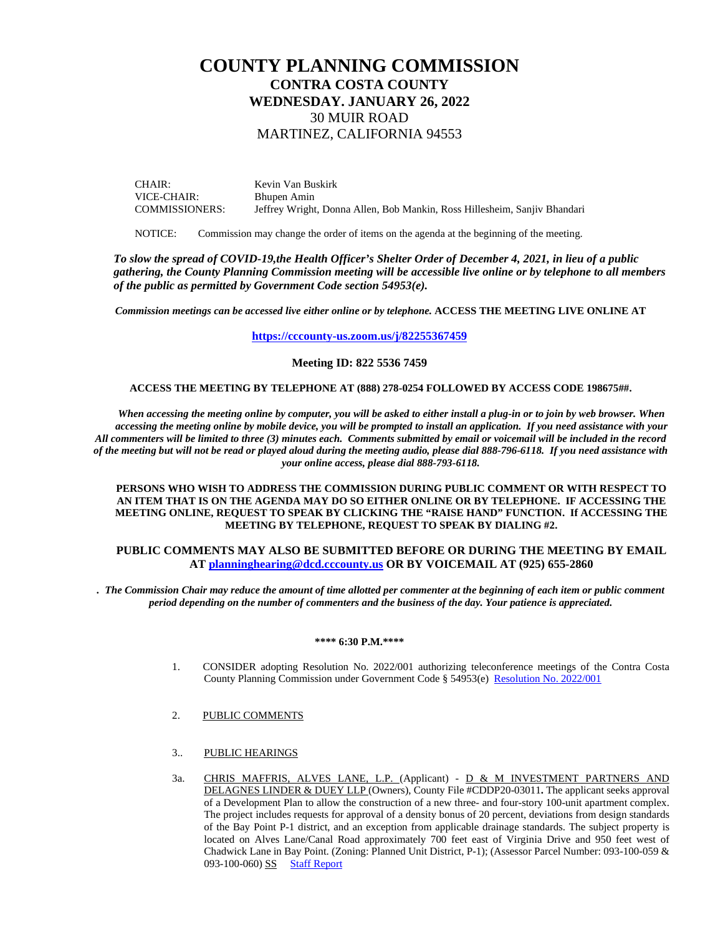# **COUNTY PLANNING COMMISSION CONTRA COSTA COUNTY WEDNESDAY. JANUARY 26, 2022** 30 MUIR ROAD MARTINEZ, CALIFORNIA 94553

CHAIR: VICE-CHAIR: COMMISSIONERS: Kevin Van Buskirk Bhupen Amin Jeffrey Wright, Donna Allen, Bob Mankin, Ross Hillesheim, Sanjiv Bhandari

NOTICE: Commission may change the order of items on the agenda at the beginning of the meeting.

*To slow the spread of COVID-19,the Health Officer's Shelter Order of December 4, 2021, in lieu of a public gathering, the County Planning Commission meeting will be accessible live online or by telephone to all members of the public as permitted by Government Code section 54953(e).*

*Commission meetings can be accessed live either online or by telephone.* **ACCESS THE MEETING LIVE ONLINE AT** 

**<https://cccounty-us.zoom.us/j/82255367459>**

### **Meeting ID: 822 5536 7459**

#### **ACCESS THE MEETING BY TELEPHONE AT (888) 278-0254 FOLLOWED BY ACCESS CODE 198675##.**

*When accessing the meeting online by computer, you will be asked to either install a plug-in or to join by web browser. When accessing the meeting online by mobile device, you will be prompted to install an application. If you need assistance with your All commenters will be limited to three (3) minutes each. Comments submitted by email or voicemail will be included in the record of the meeting but will not be read or played aloud during the meeting audio, please dial 888-796-6118. If you need assistance with your online access, please dial 888-793-6118.*

**PERSONS WHO WISH TO ADDRESS THE COMMISSION DURING PUBLIC COMMENT OR WITH RESPECT TO AN ITEM THAT IS ON THE AGENDA MAY DO SO EITHER ONLINE OR BY TELEPHONE. IF ACCESSING THE MEETING ONLINE, REQUEST TO SPEAK BY CLICKING THE "RAISE HAND" FUNCTION. If ACCESSING THE MEETING BY TELEPHONE, REQUEST TO SPEAK BY DIALING #2.** 

#### **PUBLIC COMMENTS MAY ALSO BE SUBMITTED BEFORE OR DURING THE MEETING BY EMAIL AT [planninghearing@dcd.cccounty.us](mailto:planninghearing@dcd.cccounty.us) OR BY VOICEMAIL AT (925) 655-2860**

*. The Commission Chair may reduce the amount of time allotted per commenter at the beginning of each item or public comment period depending on the number of commenters and the business of the day. Your patience is appreciated.*

#### **\*\*\*\* 6:30 P.M.\*\*\*\***

- 1. CONSIDER adopting Resolution No. 2022/001 authorizing teleconference meetings of the Contra Costa County Planning Commission under Government Code § 54953(e) Resolution [No. 2022/001](https://www.contracosta.ca.gov/DocumentCenter/View/73881/AB-361-resolution---CPC--12622)
- 2. PUBLIC COMMENTS
- 3.. PUBLIC HEARINGS
- 3a. CHRIS MAFFRIS, ALVES LANE, L.P. (Applicant) D & M INVESTMENT PARTNERS AND DELAGNES LINDER & DUEY LLP (Owners), County File #CDDP20-03011**.** The applicant seeks approval of a Development Plan to allow the construction of a new three- and four-story 100-unit apartment complex. The project includes requests for approval of a density bonus of 20 percent, deviations from design standards of the Bay Point P-1 district, and an exception from applicable drainage standards. The subject property is located on Alves Lane/Canal Road approximately 700 feet east of Virginia Drive and 950 feet west of Chadwick Lane in Bay Point. (Zoning: Planned Unit District, P-1); (Assessor Parcel Number: 093-100-059 & 093-100-060) SS [Staff Report](https://www.contracosta.ca.gov/DocumentCenter/View/73880/CDDP20-03011_SR-with-attachments)